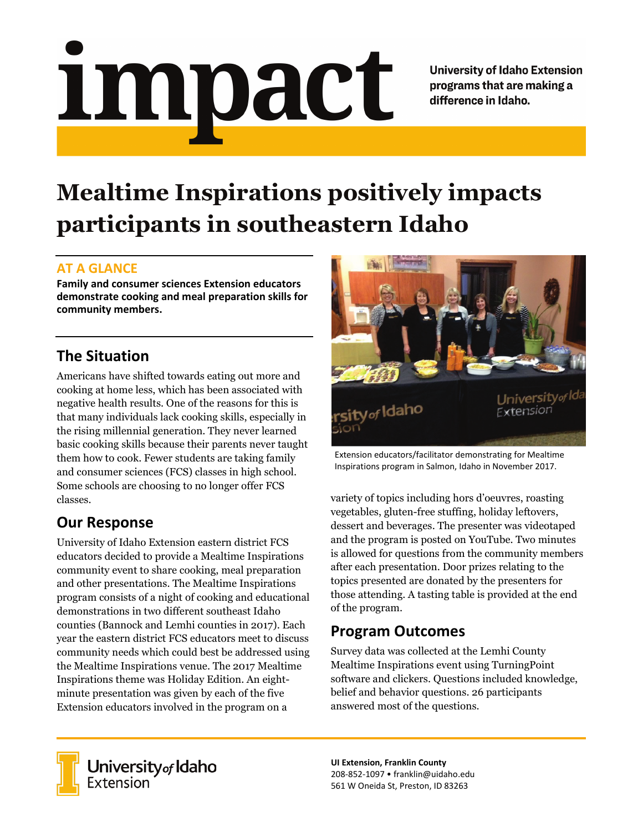# <u>impact</u>

**University of Idaho Extension** programs that are making a difference in Idaho.

# **Mealtime Inspirations positively impacts participants in southeastern Idaho**

#### **AT A GLANCE**

**Family and consumer sciences Extension educators demonstrate cooking and meal preparation skills for community members.**

# **The Situation**

Americans have shifted towards eating out more and cooking at home less, which has been associated with negative health results. One of the reasons for this is that many individuals lack cooking skills, especially in the rising millennial generation. They never learned basic cooking skills because their parents never taught them how to cook. Fewer students are taking family and consumer sciences (FCS) classes in high school. Some schools are choosing to no longer offer FCS classes.

## **Our Response**

University of Idaho Extension eastern district FCS educators decided to provide a Mealtime Inspirations community event to share cooking, meal preparation and other presentations. The Mealtime Inspirations program consists of a night of cooking and educational demonstrations in two different southeast Idaho counties (Bannock and Lemhi counties in 2017). Each year the eastern district FCS educators meet to discuss community needs which could best be addressed using the Mealtime Inspirations venue. The 2017 Mealtime Inspirations theme was Holiday Edition. An eightminute presentation was given by each of the five Extension educators involved in the program on a



Extension educators/facilitator demonstrating for Mealtime Inspirations program in Salmon, Idaho in November 2017.

variety of topics including hors d'oeuvres, roasting vegetables, gluten-free stuffing, holiday leftovers, dessert and beverages. The presenter was videotaped and the program is posted on YouTube. Two minutes is allowed for questions from the community members after each presentation. Door prizes relating to the topics presented are donated by the presenters for those attending. A tasting table is provided at the end of the program.

## **Program Outcomes**

Survey data was collected at the Lemhi County Mealtime Inspirations event using TurningPoint software and clickers. Questions included knowledge, belief and behavior questions. 26 participants answered most of the questions.



**University** of Idaho<br>Extension

**UI Extension, Franklin County** 208-852-1097 • franklin@uidaho.edu 561 W Oneida St, Preston, ID 83263